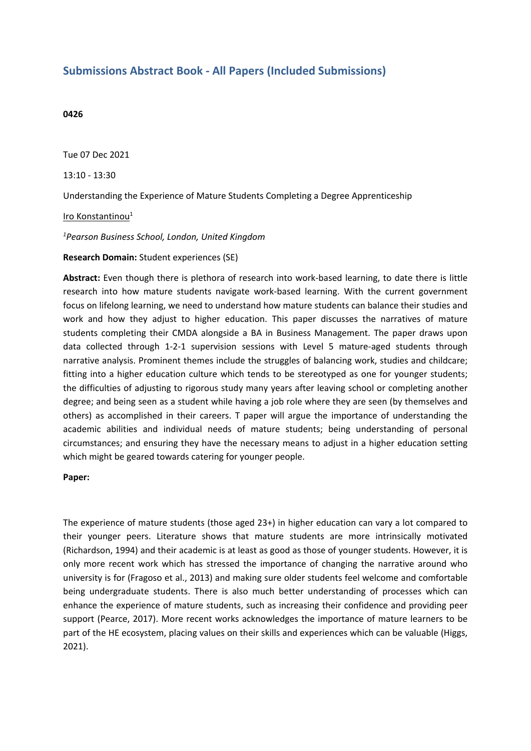## **Submissions Abstract Book - All Papers (Included Submissions)**

## **0426**

Tue 07 Dec 2021

13:10 - 13:30

Understanding the Experience of Mature Students Completing <sup>a</sup> Degree Apprenticeship

Iro Konstantinou<sup>1</sup>

*1 Pearson Business School, London, United Kingdom*

**Research Domain:** Student experiences (SE)

**Abstract:** Even though there is plethora of research into work-based learning, to date there is little research into how mature students navigate work-based learning. With the current government focus on lifelong learning, we need to understand how mature students can balance their studies and work and how they adjust to higher education. This paper discusses the narratives of mature students completing their CMDA alongside <sup>a</sup> BA in Business Management. The paper draws upon data collected through 1-2-1 supervision sessions with Level 5 mature-aged students through narrative analysis. Prominent themes include the struggles of balancing work, studies and childcare; fitting into <sup>a</sup> higher education culture which tends to be stereotyped as one for younger students; the difficulties of adjusting to rigorous study many years after leaving school or completing another degree; and being seen as <sup>a</sup> student while having <sup>a</sup> job role where they are seen (by themselves and others) as accomplished in their careers. T paper will argue the importance of understanding the academic abilities and individual needs of mature students; being understanding of personal circumstances; and ensuring they have the necessary means to adjust in <sup>a</sup> higher education setting which might be geared towards catering for younger people.

## **Paper:**

The experience of mature students (those aged 23+) in higher education can vary <sup>a</sup> lot compared to their younger peers. Literature shows that mature students are more intrinsically motivated (Richardson, 1994) and their academic is at least as good as those of younger students. However, it is only more recent work which has stressed the importance of changing the narrative around who university is for (Fragoso et al., 2013) and making sure older students feel welcome and comfortable being undergraduate students. There is also much better understanding of processes which can enhance the experience of mature students, such as increasing their confidence and providing peer support (Pearce, 2017). More recent works acknowledges the importance of mature learners to be part of the HE ecosystem, placing values on their skills and experiences which can be valuable (Higgs, 2021).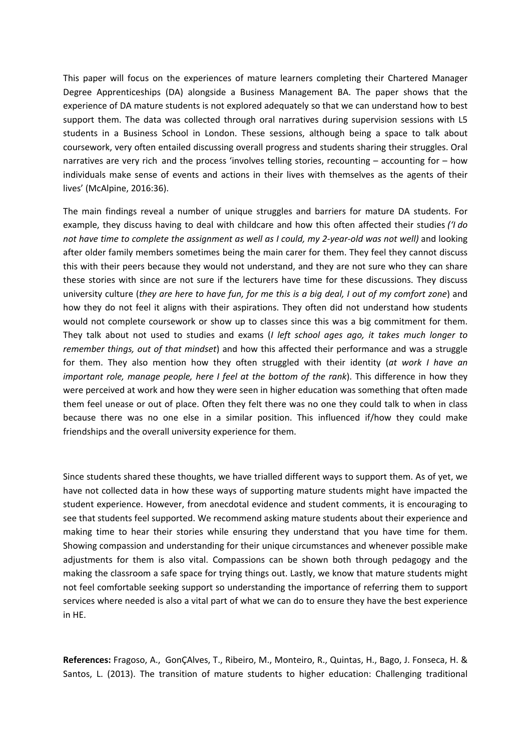This paper will focus on the experiences of mature learners completing their Chartered Manager Degree Apprenticeships (DA) alongside <sup>a</sup> Business Management BA. The paper shows that the experience of DA mature students is not explored adequately so that we can understand how to best support them. The data was collected through oral narratives during supervision sessions with L5 students in <sup>a</sup> Business School in London. These sessions, although being <sup>a</sup> space to talk about coursework, very often entailed discussing overall progress and students sharing their struggles. Oral narratives are very rich and the process 'involves telling stories, recounting – accounting for – how individuals make sense of events and actions in their lives with themselves as the agents of their lives' (McAlpine, 2016:36).

The main findings reveal <sup>a</sup> number of unique struggles and barriers for mature DA students. For example, they discuss having to deal with childcare and how this often affected their studies *('I do not have time to complete the assignment as well as I could, my 2-year-old was not well)* and looking after older family members sometimes being the main carer for them. They feel they cannot discuss this with their peers because they would not understand, and they are not sure who they can share these stories with since are not sure if the lecturers have time for these discussions. They discuss university culture (they are here to have fun, for me this is a big deal, I out of my comfort zone) and how they do not feel it aligns with their aspirations. They often did not understand how students would not complete coursework or show up to classes since this was <sup>a</sup> big commitment for them. They talk about not used to studies and exams (*I left school ages ago, it takes much longer to remember things, out of that mindset*) and how this affected their performance and was <sup>a</sup> struggle for them. They also mention how they often struggled with their identity (*at work I have an important role, manage people, here I feel at the bottom of the rank*). This difference in how they were perceived at work and how they were seen in higher education was something that often made them feel unease or out of place. Often they felt there was no one they could talk to when in class because there was no one else in <sup>a</sup> similar position. This influenced if/how they could make friendships and the overall university experience for them.

Since students shared these thoughts, we have trialled different ways to support them. As of yet, we have not collected data in how these ways of supporting mature students might have impacted the student experience. However, from anecdotal evidence and student comments, it is encouraging to see that students feel supported. We recommend asking mature students about their experience and making time to hear their stories while ensuring they understand that you have time for them. Showing compassion and understanding for their unique circumstances and whenever possible make adjustments for them is also vital. Compassions can be shown both through pedagogy and the making the classroom <sup>a</sup> safe space for trying things out. Lastly, we know that mature students might not feel comfortable seeking support so understanding the importance of referring them to support services where needed is also <sup>a</sup> vital part of what we can do to ensure they have the best experience in HE.

**References:** Fragoso, A., GonÇAlves, T., Ribeiro, M., Monteiro, R., Quintas, H., Bago, J. Fonseca, H. & Santos, L. (2013). The transition of mature students to higher education: Challenging traditional